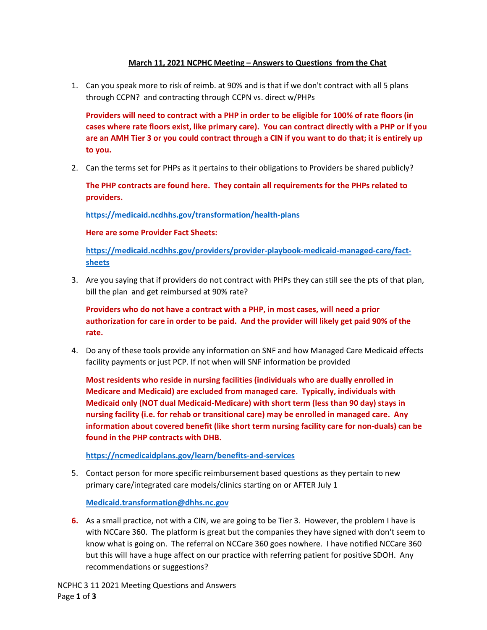## **March 11, 2021 NCPHC Meeting – Answers to Questions from the Chat**

1. Can you speak more to risk of reimb. at 90% and is that if we don't contract with all 5 plans through CCPN? and contracting through CCPN vs. direct w/PHPs

**Providers will need to contract with a PHP in order to be eligible for 100% of rate floors (in cases where rate floors exist, like primary care). You can contract directly with a PHP or if you are an AMH Tier 3 or you could contract through a CIN if you want to do that; it is entirely up to you.**

2. Can the terms set for PHPs as it pertains to their obligations to Providers be shared publicly?

**The PHP contracts are found here. They contain all requirements for the PHPs related to providers.**

**<https://medicaid.ncdhhs.gov/transformation/health-plans>**

## **Here are some Provider Fact Sheets:**

**[https://medicaid.ncdhhs.gov/providers/provider-playbook-medicaid-managed-care/fact](https://medicaid.ncdhhs.gov/providers/provider-playbook-medicaid-managed-care/fact-sheets)[sheets](https://medicaid.ncdhhs.gov/providers/provider-playbook-medicaid-managed-care/fact-sheets)**

3. Are you saying that if providers do not contract with PHPs they can still see the pts of that plan, bill the plan and get reimbursed at 90% rate?

**Providers who do not have a contract with a PHP, in most cases, will need a prior authorization for care in order to be paid. And the provider will likely get paid 90% of the rate.**

4. Do any of these tools provide any information on SNF and how Managed Care Medicaid effects facility payments or just PCP. If not when will SNF information be provided

**Most residents who reside in nursing facilities (individuals who are dually enrolled in Medicare and Medicaid) are excluded from managed care. Typically, individuals with Medicaid only (NOT dual Medicaid-Medicare) with short term (less than 90 day) stays in nursing facility (i.e. for rehab or transitional care) may be enrolled in managed care. Any information about covered benefit (like short term nursing facility care for non-duals) can be found in the PHP contracts with DHB.** 

 **<https://ncmedicaidplans.gov/learn/benefits-and-services>**

5. Contact person for more specific reimbursement based questions as they pertain to new primary care/integrated care models/clinics starting on or AFTER July 1

**[Medicaid.transformation@dhhs.nc.gov](mailto:Medicaid.transformation@dhhs.nc.gov)**

**6.** As a small practice, not with a CIN, we are going to be Tier 3. However, the problem I have is with NCCare 360. The platform is great but the companies they have signed with don't seem to know what is going on. The referral on NCCare 360 goes nowhere. I have notified NCCare 360 but this will have a huge affect on our practice with referring patient for positive SDOH. Any recommendations or suggestions?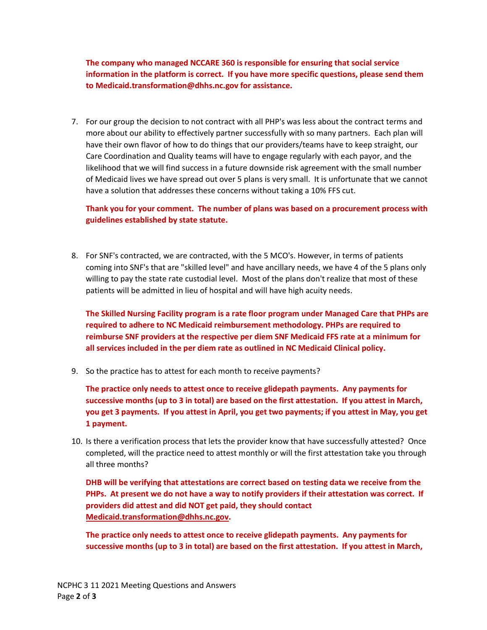**The company who managed NCCARE 360 is responsible for ensuring that social service information in the platform is correct. If you have more specific questions, please send them to Medicaid.transformation@dhhs.nc.gov for assistance.**

7. For our group the decision to not contract with all PHP's was less about the contract terms and more about our ability to effectively partner successfully with so many partners. Each plan will have their own flavor of how to do things that our providers/teams have to keep straight, our Care Coordination and Quality teams will have to engage regularly with each payor, and the likelihood that we will find success in a future downside risk agreement with the small number of Medicaid lives we have spread out over 5 plans is very small. It is unfortunate that we cannot have a solution that addresses these concerns without taking a 10% FFS cut.

**Thank you for your comment. The number of plans was based on a procurement process with guidelines established by state statute.** 

8. For SNF's contracted, we are contracted, with the 5 MCO's. However, in terms of patients coming into SNF's that are "skilled level" and have ancillary needs, we have 4 of the 5 plans only willing to pay the state rate custodial level. Most of the plans don't realize that most of these patients will be admitted in lieu of hospital and will have high acuity needs.

**The Skilled Nursing Facility program is a rate floor program under Managed Care that PHPs are required to adhere to NC Medicaid reimbursement methodology. PHPs are required to reimburse SNF providers at the respective per diem SNF Medicaid FFS rate at a minimum for all services included in the per diem rate as outlined in NC Medicaid Clinical policy.** 

9. So the practice has to attest for each month to receive payments?

**The practice only needs to attest once to receive glidepath payments. Any payments for successive months (up to 3 in total) are based on the first attestation. If you attest in March, you get 3 payments. If you attest in April, you get two payments; if you attest in May, you get 1 payment.**

10. Is there a verification process that lets the provider know that have successfully attested? Once completed, will the practice need to attest monthly or will the first attestation take you through all three months?

**DHB will be verifying that attestations are correct based on testing data we receive from the PHPs. At present we do not have a way to notify providers if their attestation was correct. If providers did attest and did NOT get paid, they should contact [Medicaid.transformation@dhhs.nc.gov.](mailto:Medicaid.transformation@dhhs.nc.gov)**

**The practice only needs to attest once to receive glidepath payments. Any payments for successive months (up to 3 in total) are based on the first attestation. If you attest in March,**